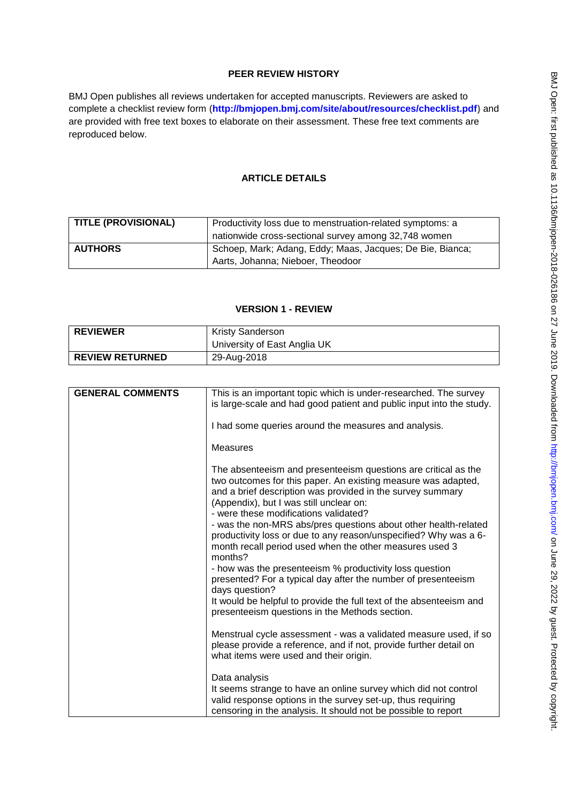# **PEER REVIEW HISTORY**

BMJ Open publishes all reviews undertaken for accepted manuscripts. Reviewers are asked to complete a checklist review form (**[http://bmjopen.bmj.com/site/about/resources/checklist.pdf\)](http://bmjopen.bmj.com/site/about/resources/checklist.pdf)** and are provided with free text boxes to elaborate on their assessment. These free text comments are reproduced below.

# **ARTICLE DETAILS**

| <b>TITLE (PROVISIONAL)</b> | Productivity loss due to menstruation-related symptoms: a |
|----------------------------|-----------------------------------------------------------|
|                            | nationwide cross-sectional survey among 32,748 women      |
| <b>AUTHORS</b>             | Schoep, Mark; Adang, Eddy; Maas, Jacques; De Bie, Bianca; |
|                            | Aarts, Johanna; Nieboer, Theodoor                         |

### **VERSION 1 - REVIEW**

| <b>REVIEWER</b>        | <b>Kristy Sanderson</b>      |
|------------------------|------------------------------|
|                        | University of East Anglia UK |
| <b>REVIEW RETURNED</b> | 29-Aug-2018                  |

| <b>GENERAL COMMENTS</b> | This is an important topic which is under-researched. The survey<br>is large-scale and had good patient and public input into the study.                                                                                                                                                                                                                                                                                                                                                                                                                                                                                   |
|-------------------------|----------------------------------------------------------------------------------------------------------------------------------------------------------------------------------------------------------------------------------------------------------------------------------------------------------------------------------------------------------------------------------------------------------------------------------------------------------------------------------------------------------------------------------------------------------------------------------------------------------------------------|
|                         | I had some queries around the measures and analysis.                                                                                                                                                                                                                                                                                                                                                                                                                                                                                                                                                                       |
|                         | <b>Measures</b>                                                                                                                                                                                                                                                                                                                                                                                                                                                                                                                                                                                                            |
|                         | The absenteeism and presenteeism questions are critical as the<br>two outcomes for this paper. An existing measure was adapted,<br>and a brief description was provided in the survey summary<br>(Appendix), but I was still unclear on:<br>- were these modifications validated?<br>- was the non-MRS abs/pres questions about other health-related<br>productivity loss or due to any reason/unspecified? Why was a 6-<br>month recall period used when the other measures used 3<br>months?<br>- how was the presenteeism % productivity loss question<br>presented? For a typical day after the number of presenteeism |
|                         | days question?<br>It would be helpful to provide the full text of the absenteeism and                                                                                                                                                                                                                                                                                                                                                                                                                                                                                                                                      |
|                         | presenteeism questions in the Methods section.                                                                                                                                                                                                                                                                                                                                                                                                                                                                                                                                                                             |
|                         | Menstrual cycle assessment - was a validated measure used, if so<br>please provide a reference, and if not, provide further detail on<br>what items were used and their origin.                                                                                                                                                                                                                                                                                                                                                                                                                                            |
|                         | Data analysis<br>It seems strange to have an online survey which did not control<br>valid response options in the survey set-up, thus requiring<br>censoring in the analysis. It should not be possible to report                                                                                                                                                                                                                                                                                                                                                                                                          |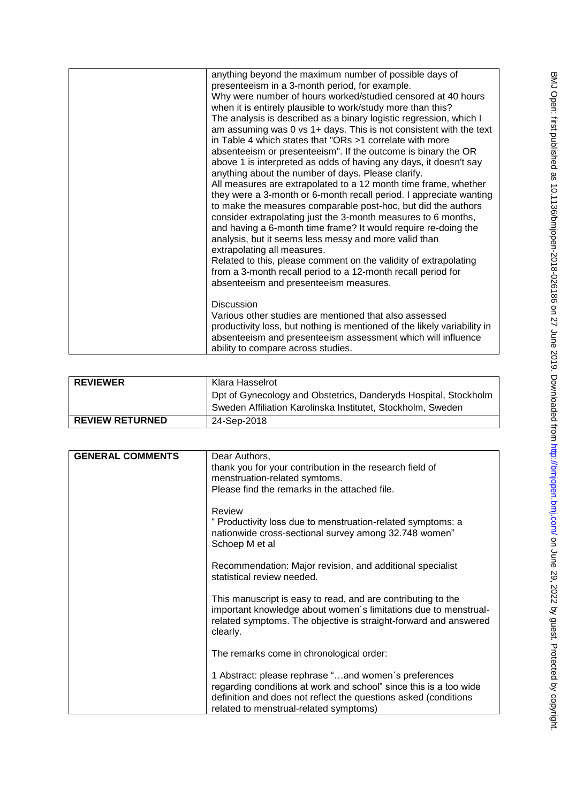| anything beyond the maximum number of possible days of<br>presenteeism in a 3-month period, for example.<br>Why were number of hours worked/studied censored at 40 hours<br>when it is entirely plausible to work/study more than this?<br>The analysis is described as a binary logistic regression, which I<br>am assuming was 0 vs 1+ days. This is not consistent with the text<br>in Table 4 which states that "ORs >1 correlate with more<br>absenteeism or presenteeism". If the outcome is binary the OR<br>above 1 is interpreted as odds of having any days, it doesn't say<br>anything about the number of days. Please clarify.<br>All measures are extrapolated to a 12 month time frame, whether<br>they were a 3-month or 6-month recall period. I appreciate wanting<br>to make the measures comparable post-hoc, but did the authors<br>consider extrapolating just the 3-month measures to 6 months,<br>and having a 6-month time frame? It would require re-doing the<br>analysis, but it seems less messy and more valid than<br>extrapolating all measures.<br>Related to this, please comment on the validity of extrapolating<br>from a 3-month recall period to a 12-month recall period for<br>absenteeism and presenteeism measures. |
|----------------------------------------------------------------------------------------------------------------------------------------------------------------------------------------------------------------------------------------------------------------------------------------------------------------------------------------------------------------------------------------------------------------------------------------------------------------------------------------------------------------------------------------------------------------------------------------------------------------------------------------------------------------------------------------------------------------------------------------------------------------------------------------------------------------------------------------------------------------------------------------------------------------------------------------------------------------------------------------------------------------------------------------------------------------------------------------------------------------------------------------------------------------------------------------------------------------------------------------------------------------|
| <b>Discussion</b><br>Various other studies are mentioned that also assessed<br>productivity loss, but nothing is mentioned of the likely variability in<br>absenteeism and presenteeism assessment which will influence<br>ability to compare across studies.                                                                                                                                                                                                                                                                                                                                                                                                                                                                                                                                                                                                                                                                                                                                                                                                                                                                                                                                                                                                  |

| <b>REVIEWER</b>        | Klara Hasselrot                                                 |
|------------------------|-----------------------------------------------------------------|
|                        | Dpt of Gynecology and Obstetrics, Danderyds Hospital, Stockholm |
|                        | Sweden Affiliation Karolinska Institutet, Stockholm, Sweden     |
| <b>REVIEW RETURNED</b> | 24-Sep-2018                                                     |

| <b>GENERAL COMMENTS</b> | Dear Authors,                                                     |
|-------------------------|-------------------------------------------------------------------|
|                         | thank you for your contribution in the research field of          |
|                         | menstruation-related symtoms.                                     |
|                         | Please find the remarks in the attached file.                     |
|                         |                                                                   |
|                         | Review                                                            |
|                         | " Productivity loss due to menstruation-related symptoms: a       |
|                         |                                                                   |
|                         | nationwide cross-sectional survey among 32.748 women"             |
|                         | Schoep M et al                                                    |
|                         |                                                                   |
|                         | Recommendation: Major revision, and additional specialist         |
|                         | statistical review needed.                                        |
|                         | This manuscript is easy to read, and are contributing to the      |
|                         | important knowledge about women's limitations due to menstrual-   |
|                         |                                                                   |
|                         | related symptoms. The objective is straight-forward and answered  |
|                         | clearly.                                                          |
|                         |                                                                   |
|                         | The remarks come in chronological order:                          |
|                         |                                                                   |
|                         | 1 Abstract: please rephrase "and women's preferences              |
|                         | regarding conditions at work and school" since this is a too wide |
|                         | definition and does not reflect the questions asked (conditions   |
|                         | related to menstrual-related symptoms)                            |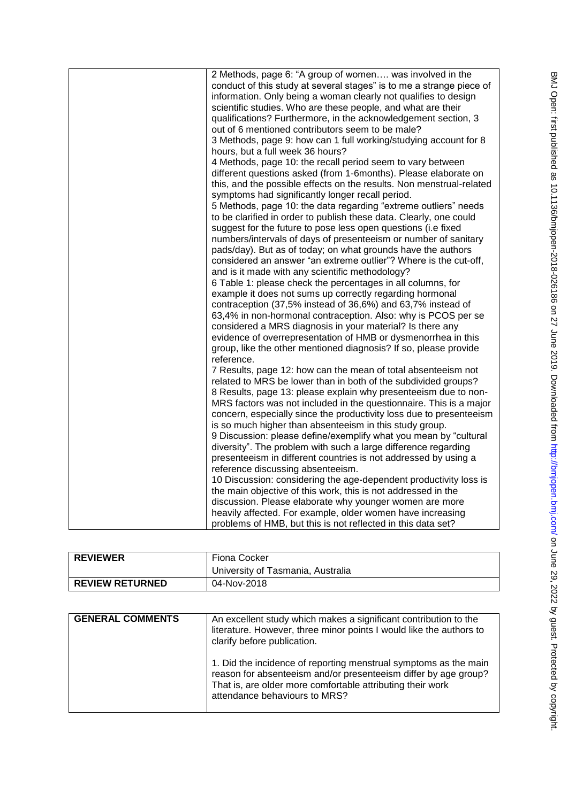| information. Only being a woman clearly not qualifies to design<br>scientific studies. Who are these people, and what are their<br>qualifications? Furthermore, in the acknowledgement section, 3<br>out of 6 mentioned contributors seem to be male?<br>3 Methods, page 9: how can 1 full working/studying account for 8<br>hours, but a full week 36 hours?<br>4 Methods, page 10: the recall period seem to vary between<br>different questions asked (from 1-6months). Please elaborate on<br>symptoms had significantly longer recall period.<br>5 Methods, page 10: the data regarding "extreme outliers" needs                                                                                                                                                                                                                                                                                                                                                                                                                                                                                                                                                                                                                                                                                  |                                                                                                                                                                                                                                                                                                                                                                                                                                                                                                                                                                                                                                         |
|--------------------------------------------------------------------------------------------------------------------------------------------------------------------------------------------------------------------------------------------------------------------------------------------------------------------------------------------------------------------------------------------------------------------------------------------------------------------------------------------------------------------------------------------------------------------------------------------------------------------------------------------------------------------------------------------------------------------------------------------------------------------------------------------------------------------------------------------------------------------------------------------------------------------------------------------------------------------------------------------------------------------------------------------------------------------------------------------------------------------------------------------------------------------------------------------------------------------------------------------------------------------------------------------------------|-----------------------------------------------------------------------------------------------------------------------------------------------------------------------------------------------------------------------------------------------------------------------------------------------------------------------------------------------------------------------------------------------------------------------------------------------------------------------------------------------------------------------------------------------------------------------------------------------------------------------------------------|
| suggest for the future to pose less open questions (i.e fixed<br>numbers/intervals of days of presenteeism or number of sanitary<br>pads/day). But as of today; on what grounds have the authors<br>considered an answer "an extreme outlier"? Where is the cut-off,<br>and is it made with any scientific methodology?<br>6 Table 1: please check the percentages in all columns, for<br>example it does not sums up correctly regarding hormonal<br>contraception (37,5% instead of 36,6%) and 63,7% instead of<br>63,4% in non-hormonal contraception. Also: why is PCOS per se<br>considered a MRS diagnosis in your material? Is there any<br>evidence of overrepresentation of HMB or dysmenorrhea in this<br>group, like the other mentioned diagnosis? If so, please provide<br>reference.<br>7 Results, page 12: how can the mean of total absenteeism not<br>related to MRS be lower than in both of the subdivided groups?<br>is so much higher than absenteeism in this study group.<br>diversity". The problem with such a large difference regarding<br>presenteeism in different countries is not addressed by using a<br>reference discussing absenteeism.<br>the main objective of this work, this is not addressed in the<br>discussion. Please elaborate why younger women are more | 2 Methods, page 6: "A group of women was involved in the<br>conduct of this study at several stages" is to me a strange piece of<br>this, and the possible effects on the results. Non menstrual-related<br>to be clarified in order to publish these data. Clearly, one could<br>8 Results, page 13: please explain why presenteeism due to non-<br>MRS factors was not included in the questionnaire. This is a major<br>concern, especially since the productivity loss due to presenteeism<br>9 Discussion: please define/exemplify what you mean by "cultural<br>10 Discussion: considering the age-dependent productivity loss is |
| heavily affected. For example, older women have increasing<br>problems of HMB, but this is not reflected in this data set?                                                                                                                                                                                                                                                                                                                                                                                                                                                                                                                                                                                                                                                                                                                                                                                                                                                                                                                                                                                                                                                                                                                                                                             |                                                                                                                                                                                                                                                                                                                                                                                                                                                                                                                                                                                                                                         |

| <b>REVIEWER</b>        | Fiona Cocker                      |
|------------------------|-----------------------------------|
|                        | University of Tasmania, Australia |
| <b>REVIEW RETURNED</b> | 04-Nov-2018                       |

| <b>GENERAL COMMENTS</b> | An excellent study which makes a significant contribution to the<br>literature. However, three minor points I would like the authors to<br>clarify before publication.                                                             |
|-------------------------|------------------------------------------------------------------------------------------------------------------------------------------------------------------------------------------------------------------------------------|
|                         | 1. Did the incidence of reporting menstrual symptoms as the main<br>reason for absenteeism and/or presenteeism differ by age group?<br>That is, are older more comfortable attributing their work<br>attendance behaviours to MRS? |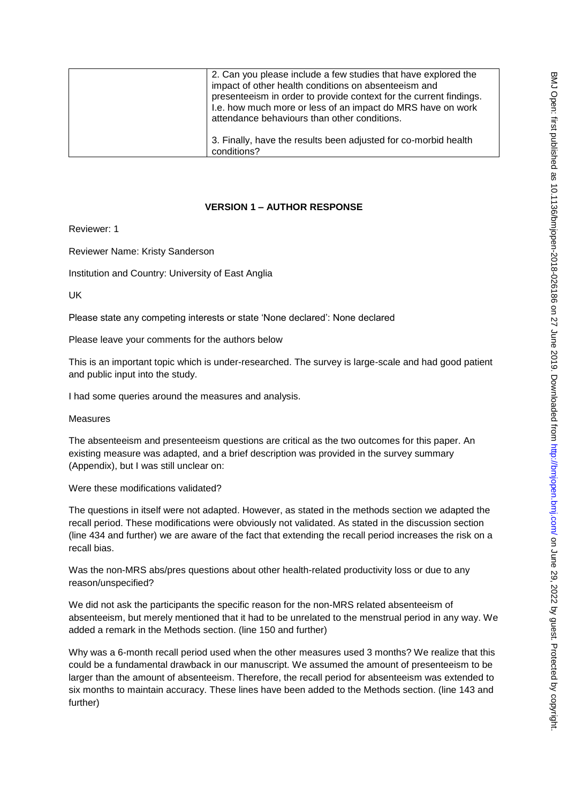| 2. Can you please include a few studies that have explored the<br>impact of other health conditions on absenteeism and<br>presenteeism in order to provide context for the current findings.<br>I.e. how much more or less of an impact do MRS have on work<br>attendance behaviours than other conditions. |
|-------------------------------------------------------------------------------------------------------------------------------------------------------------------------------------------------------------------------------------------------------------------------------------------------------------|
| 3. Finally, have the results been adjusted for co-morbid health<br>conditions?                                                                                                                                                                                                                              |

## **VERSION 1 – AUTHOR RESPONSE**

Reviewer: 1

Reviewer Name: Kristy Sanderson

Institution and Country: University of East Anglia

UK

Please state any competing interests or state 'None declared': None declared

Please leave your comments for the authors below

This is an important topic which is under-researched. The survey is large-scale and had good patient and public input into the study.

I had some queries around the measures and analysis.

Measures

The absenteeism and presenteeism questions are critical as the two outcomes for this paper. An existing measure was adapted, and a brief description was provided in the survey summary (Appendix), but I was still unclear on:

Were these modifications validated?

The questions in itself were not adapted. However, as stated in the methods section we adapted the recall period. These modifications were obviously not validated. As stated in the discussion section (line 434 and further) we are aware of the fact that extending the recall period increases the risk on a recall bias.

Was the non-MRS abs/pres questions about other health-related productivity loss or due to any reason/unspecified?

We did not ask the participants the specific reason for the non-MRS related absenteeism of absenteeism, but merely mentioned that it had to be unrelated to the menstrual period in any way. We added a remark in the Methods section. (line 150 and further)

Why was a 6-month recall period used when the other measures used 3 months? We realize that this could be a fundamental drawback in our manuscript. We assumed the amount of presenteeism to be larger than the amount of absenteeism. Therefore, the recall period for absenteeism was extended to six months to maintain accuracy. These lines have been added to the Methods section. (line 143 and further)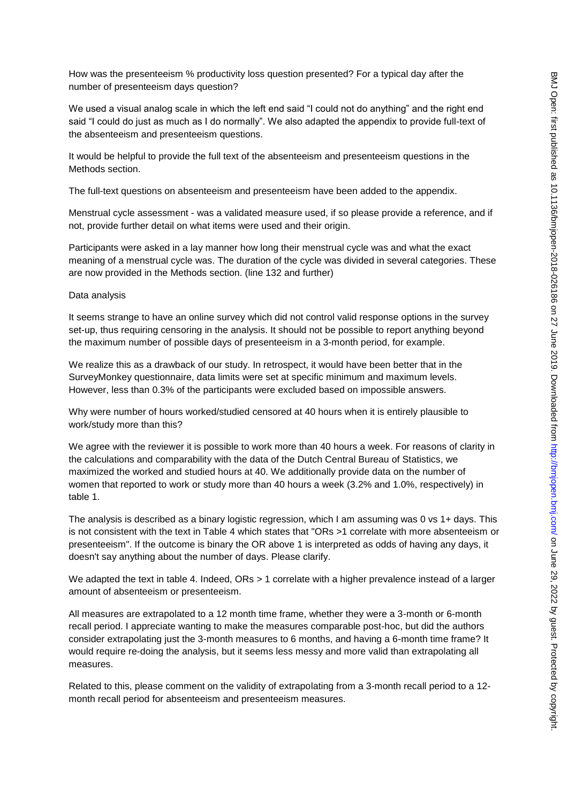How was the presenteeism % productivity loss question presented? For a typical day after the number of presenteeism days question?

We used a visual analog scale in which the left end said "I could not do anything" and the right end said "I could do just as much as I do normally". We also adapted the appendix to provide full-text of the absenteeism and presenteeism questions.

It would be helpful to provide the full text of the absenteeism and presenteeism questions in the Methods section.

The full-text questions on absenteeism and presenteeism have been added to the appendix.

Menstrual cycle assessment - was a validated measure used, if so please provide a reference, and if not, provide further detail on what items were used and their origin.

Participants were asked in a lay manner how long their menstrual cycle was and what the exact meaning of a menstrual cycle was. The duration of the cycle was divided in several categories. These are now provided in the Methods section. (line 132 and further)

#### Data analysis

It seems strange to have an online survey which did not control valid response options in the survey set-up, thus requiring censoring in the analysis. It should not be possible to report anything beyond the maximum number of possible days of presenteeism in a 3-month period, for example.

We realize this as a drawback of our study. In retrospect, it would have been better that in the SurveyMonkey questionnaire, data limits were set at specific minimum and maximum levels. However, less than 0.3% of the participants were excluded based on impossible answers.

Why were number of hours worked/studied censored at 40 hours when it is entirely plausible to work/study more than this?

We agree with the reviewer it is possible to work more than 40 hours a week. For reasons of clarity in the calculations and comparability with the data of the Dutch Central Bureau of Statistics, we maximized the worked and studied hours at 40. We additionally provide data on the number of women that reported to work or study more than 40 hours a week (3.2% and 1.0%, respectively) in table 1.

The analysis is described as a binary logistic regression, which I am assuming was 0 vs 1+ days. This is not consistent with the text in Table 4 which states that "ORs >1 correlate with more absenteeism or presenteeism". If the outcome is binary the OR above 1 is interpreted as odds of having any days, it doesn't say anything about the number of days. Please clarify.

We adapted the text in table 4. Indeed, ORs > 1 correlate with a higher prevalence instead of a larger amount of absenteeism or presenteeism.

All measures are extrapolated to a 12 month time frame, whether they were a 3-month or 6-month recall period. I appreciate wanting to make the measures comparable post-hoc, but did the authors consider extrapolating just the 3-month measures to 6 months, and having a 6-month time frame? It would require re-doing the analysis, but it seems less messy and more valid than extrapolating all measures.

Related to this, please comment on the validity of extrapolating from a 3-month recall period to a 12 month recall period for absenteeism and presenteeism measures.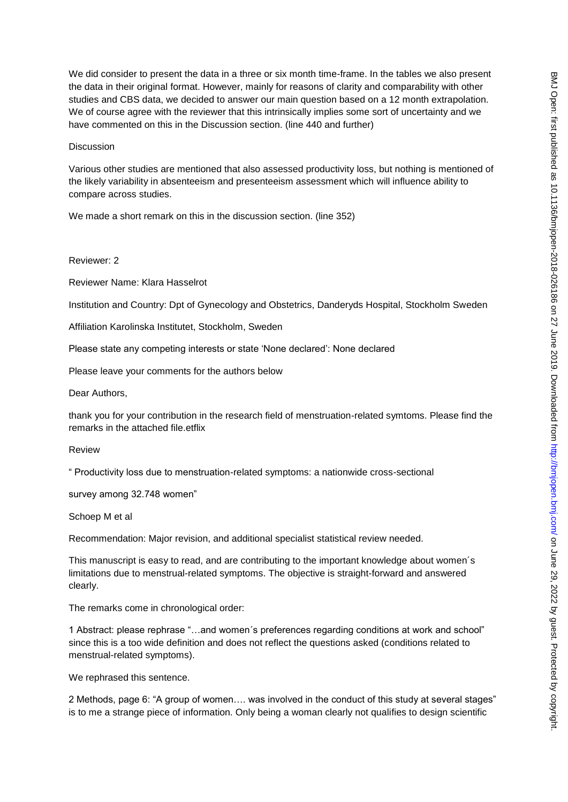We did consider to present the data in a three or six month time-frame. In the tables we also present the data in their original format. However, mainly for reasons of clarity and comparability with other studies and CBS data, we decided to answer our main question based on a 12 month extrapolation. We of course agree with the reviewer that this intrinsically implies some sort of uncertainty and we have commented on this in the Discussion section. (line 440 and further)

#### **Discussion**

Various other studies are mentioned that also assessed productivity loss, but nothing is mentioned of the likely variability in absenteeism and presenteeism assessment which will influence ability to compare across studies.

We made a short remark on this in the discussion section. (line 352)

### Reviewer: 2

Reviewer Name: Klara Hasselrot

Institution and Country: Dpt of Gynecology and Obstetrics, Danderyds Hospital, Stockholm Sweden

Affiliation Karolinska Institutet, Stockholm, Sweden

Please state any competing interests or state 'None declared': None declared

Please leave your comments for the authors below

Dear Authors,

thank you for your contribution in the research field of menstruation-related symtoms. Please find the remarks in the attached file.etflix

Review

" Productivity loss due to menstruation-related symptoms: a nationwide cross-sectional

survey among 32.748 women"

Schoep M et al

Recommendation: Major revision, and additional specialist statistical review needed.

This manuscript is easy to read, and are contributing to the important knowledge about women´s limitations due to menstrual-related symptoms. The objective is straight-forward and answered clearly.

The remarks come in chronological order:

1 Abstract: please rephrase "…and women´s preferences regarding conditions at work and school" since this is a too wide definition and does not reflect the questions asked (conditions related to menstrual-related symptoms).

We rephrased this sentence.

2 Methods, page 6: "A group of women…. was involved in the conduct of this study at several stages" is to me a strange piece of information. Only being a woman clearly not qualifies to design scientific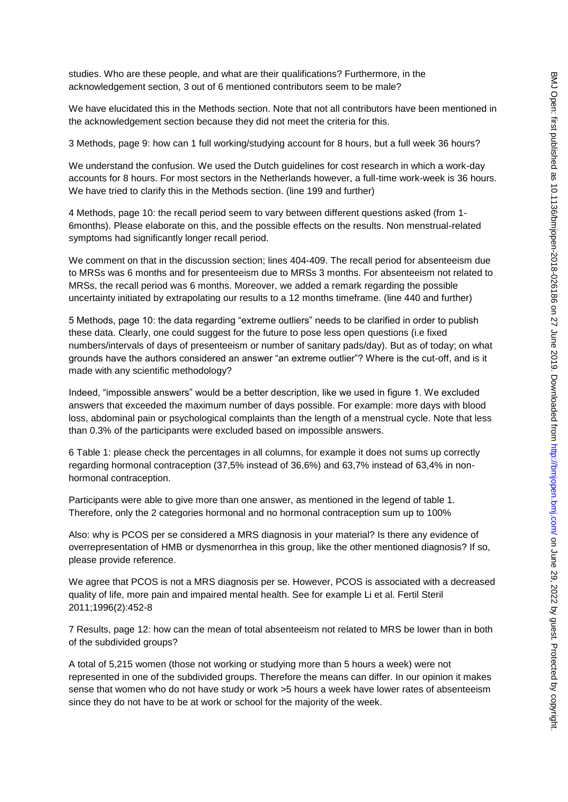studies. Who are these people, and what are their qualifications? Furthermore, in the acknowledgement section, 3 out of 6 mentioned contributors seem to be male?

We have elucidated this in the Methods section. Note that not all contributors have been mentioned in the acknowledgement section because they did not meet the criteria for this.

3 Methods, page 9: how can 1 full working/studying account for 8 hours, but a full week 36 hours?

We understand the confusion. We used the Dutch guidelines for cost research in which a work-day accounts for 8 hours. For most sectors in the Netherlands however, a full-time work-week is 36 hours. We have tried to clarify this in the Methods section. (line 199 and further)

4 Methods, page 10: the recall period seem to vary between different questions asked (from 1- 6months). Please elaborate on this, and the possible effects on the results. Non menstrual-related symptoms had significantly longer recall period.

We comment on that in the discussion section; lines 404-409. The recall period for absenteeism due to MRSs was 6 months and for presenteeism due to MRSs 3 months. For absenteeism not related to MRSs, the recall period was 6 months. Moreover, we added a remark regarding the possible uncertainty initiated by extrapolating our results to a 12 months timeframe. (line 440 and further)

5 Methods, page 10: the data regarding "extreme outliers" needs to be clarified in order to publish these data. Clearly, one could suggest for the future to pose less open questions (i.e fixed numbers/intervals of days of presenteeism or number of sanitary pads/day). But as of today; on what grounds have the authors considered an answer "an extreme outlier"? Where is the cut-off, and is it made with any scientific methodology?

Indeed, "impossible answers" would be a better description, like we used in figure 1. We excluded answers that exceeded the maximum number of days possible. For example: more days with blood loss, abdominal pain or psychological complaints than the length of a menstrual cycle. Note that less than 0.3% of the participants were excluded based on impossible answers.

6 Table 1: please check the percentages in all columns, for example it does not sums up correctly regarding hormonal contraception (37,5% instead of 36,6%) and 63,7% instead of 63,4% in nonhormonal contraception.

Participants were able to give more than one answer, as mentioned in the legend of table 1. Therefore, only the 2 categories hormonal and no hormonal contraception sum up to 100%

Also: why is PCOS per se considered a MRS diagnosis in your material? Is there any evidence of overrepresentation of HMB or dysmenorrhea in this group, like the other mentioned diagnosis? If so, please provide reference.

We agree that PCOS is not a MRS diagnosis per se. However, PCOS is associated with a decreased quality of life, more pain and impaired mental health. See for example Li et al. Fertil Steril 2011;1996(2):452-8

7 Results, page 12: how can the mean of total absenteeism not related to MRS be lower than in both of the subdivided groups?

A total of 5,215 women (those not working or studying more than 5 hours a week) were not represented in one of the subdivided groups. Therefore the means can differ. In our opinion it makes sense that women who do not have study or work >5 hours a week have lower rates of absenteeism since they do not have to be at work or school for the majority of the week.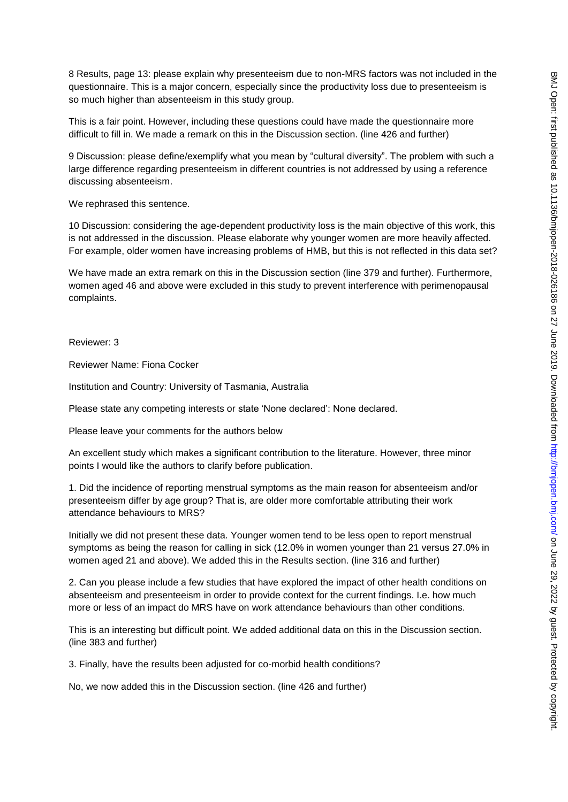8 Results, page 13: please explain why presenteeism due to non-MRS factors was not included in the questionnaire. This is a major concern, especially since the productivity loss due to presenteeism is so much higher than absenteeism in this study group.

This is a fair point. However, including these questions could have made the questionnaire more difficult to fill in. We made a remark on this in the Discussion section. (line 426 and further)

9 Discussion: please define/exemplify what you mean by "cultural diversity". The problem with such a large difference regarding presenteeism in different countries is not addressed by using a reference discussing absenteeism.

We rephrased this sentence.

10 Discussion: considering the age-dependent productivity loss is the main objective of this work, this is not addressed in the discussion. Please elaborate why younger women are more heavily affected. For example, older women have increasing problems of HMB, but this is not reflected in this data set?

We have made an extra remark on this in the Discussion section (line 379 and further). Furthermore, women aged 46 and above were excluded in this study to prevent interference with perimenopausal complaints.

Reviewer: 3

Reviewer Name: Fiona Cocker

Institution and Country: University of Tasmania, Australia

Please state any competing interests or state 'None declared': None declared.

Please leave your comments for the authors below

An excellent study which makes a significant contribution to the literature. However, three minor points I would like the authors to clarify before publication.

1. Did the incidence of reporting menstrual symptoms as the main reason for absenteeism and/or presenteeism differ by age group? That is, are older more comfortable attributing their work attendance behaviours to MRS?

Initially we did not present these data. Younger women tend to be less open to report menstrual symptoms as being the reason for calling in sick (12.0% in women younger than 21 versus 27.0% in women aged 21 and above). We added this in the Results section. (line 316 and further)

2. Can you please include a few studies that have explored the impact of other health conditions on absenteeism and presenteeism in order to provide context for the current findings. I.e. how much more or less of an impact do MRS have on work attendance behaviours than other conditions.

This is an interesting but difficult point. We added additional data on this in the Discussion section. (line 383 and further)

3. Finally, have the results been adjusted for co-morbid health conditions?

No, we now added this in the Discussion section. (line 426 and further)